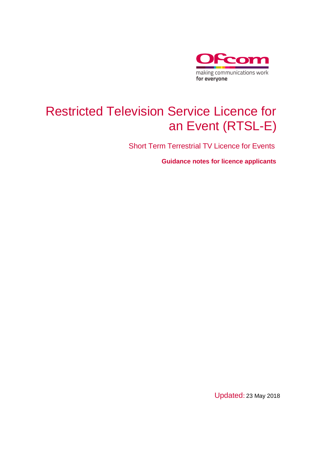

# Restricted Television Service Licence for an Event (RTSL-E)

Short Term Terrestrial TV Licence for Events

**Guidance notes for licence applicants**

Updated: 23 May 2018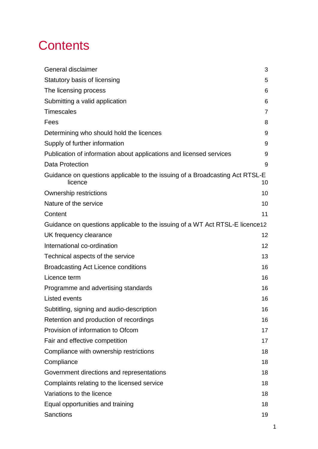# **Contents**

| General disclaimer                                                                      | 3              |
|-----------------------------------------------------------------------------------------|----------------|
| Statutory basis of licensing                                                            | 5              |
| The licensing process                                                                   | 6              |
| Submitting a valid application                                                          | 6              |
| <b>Timescales</b>                                                                       | $\overline{7}$ |
| Fees                                                                                    | 8              |
| Determining who should hold the licences                                                | 9              |
| Supply of further information                                                           | 9              |
| Publication of information about applications and licensed services                     | 9              |
| <b>Data Protection</b>                                                                  | 9              |
| Guidance on questions applicable to the issuing of a Broadcasting Act RTSL-E<br>licence | 10             |
| Ownership restrictions                                                                  | 10             |
| Nature of the service                                                                   | 10             |
| Content                                                                                 | 11             |
| Guidance on questions applicable to the issuing of a WT Act RTSL-E licence 12           |                |
| UK frequency clearance                                                                  | 12             |
| International co-ordination                                                             | 12             |
| Technical aspects of the service                                                        | 13             |
| <b>Broadcasting Act Licence conditions</b>                                              | 16             |
| Licence term                                                                            | 16             |
| Programme and advertising standards                                                     | 16             |
| <b>Listed events</b>                                                                    | 16             |
| Subtitling, signing and audio-description                                               | 16             |
| Retention and production of recordings                                                  | 16             |
| Provision of information to Ofcom                                                       | 17             |
| Fair and effective competition                                                          | 17             |
| Compliance with ownership restrictions                                                  | 18             |
| Compliance                                                                              | 18             |
| Government directions and representations                                               | 18             |
| Complaints relating to the licensed service                                             | 18             |
| Variations to the licence                                                               | 18             |
| Equal opportunities and training                                                        | 18             |
| Sanctions                                                                               | 19             |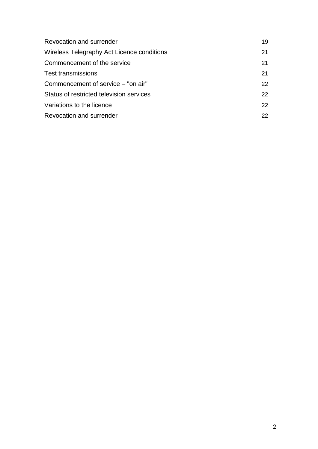| Revocation and surrender                   | 19              |
|--------------------------------------------|-----------------|
| Wireless Telegraphy Act Licence conditions | 21              |
| Commencement of the service                | 21              |
| <b>Test transmissions</b>                  | 21              |
| Commencement of service – "on air"         | 22 <sub>2</sub> |
| Status of restricted television services   | 22 <sub>2</sub> |
| Variations to the licence                  | 22              |
| Revocation and surrender                   | 22 <sub>1</sub> |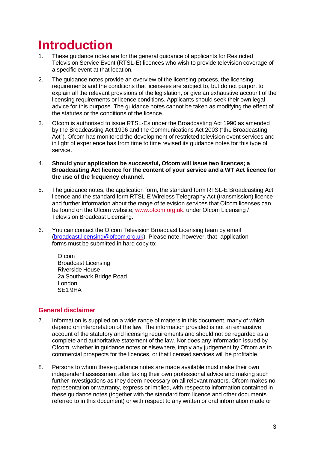# **Introduction**

- These guidance notes are for the general guidance of applicants for Restricted Television Service Event (RTSL-E) licences who wish to provide television coverage of a specific event at that location.
- 2. The guidance notes provide an overview of the licensing process, the licensing requirements and the conditions that licensees are subject to, but do not purport to explain all the relevant provisions of the legislation, or give an exhaustive account of the licensing requirements or licence conditions. Applicants should seek their own legal advice for this purpose. The guidance notes cannot be taken as modifying the effect of the statutes or the conditions of the licence.
- 3. Ofcom is authorised to issue RTSL-Es under the Broadcasting Act 1990 as amended by the Broadcasting Act 1996 and the Communications Act 2003 ("the Broadcasting Act"). Ofcom has monitored the development of restricted television event services and in light of experience has from time to time revised its guidance notes for this type of service.
- 4. **Should your application be successful, Ofcom will issue two licences; a Broadcasting Act licence for the content of your service and a WT Act licence for the use of the frequency channel.**
- 5. The guidance notes, the application form, the standard form RTSL-E Broadcasting Act licence and the standard form RTSL-E Wireless Telegraphy Act (transmission) licence and further information about the range of television services that Ofcom licenses can be found on the Ofcom website, [www.ofcom.org.uk,](http://www.ofcom.org.uk/) under Ofcom Licensing / Television Broadcast Licensing.
- 6. You can contact the Ofcom Television Broadcast Licensing team by email [\(broadcast.licensing@ofcom.org.uk\)](mailto:broadcast.licensing@ofcom.org.uk). Please note, however, that application forms must be submitted in hard copy to:

**Ofcom** Broadcast Licensing Riverside House 2a Southwark Bridge Road London SE1 9HA

# <span id="page-3-0"></span>**General disclaimer**

- 7. Information is supplied on a wide range of matters in this document, many of which depend on interpretation of the law. The information provided is not an exhaustive account of the statutory and licensing requirements and should not be regarded as a complete and authoritative statement of the law. Nor does any information issued by Ofcom, whether in guidance notes or elsewhere, imply any judgement by Ofcom as to commercial prospects for the licences, or that licensed services will be profitable.
- 8. Persons to whom these guidance notes are made available must make their own independent assessment after taking their own professional advice and making such further investigations as they deem necessary on all relevant matters. Ofcom makes no representation or warranty, express or implied, with respect to information contained in these guidance notes (together with the standard form licence and other documents referred to in this document) or with respect to any written or oral information made or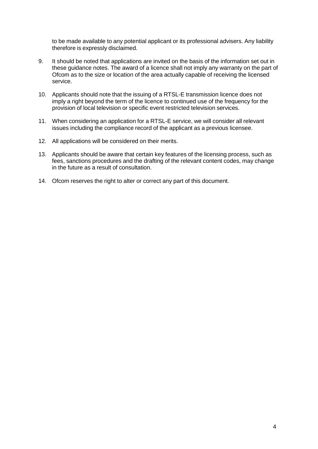to be made available to any potential applicant or its professional advisers. Any liability therefore is expressly disclaimed.

- 9. It should be noted that applications are invited on the basis of the information set out in these guidance notes. The award of a licence shall not imply any warranty on the part of Ofcom as to the size or location of the area actually capable of receiving the licensed service.
- 10. Applicants should note that the issuing of a RTSL-E transmission licence does not imply a right beyond the term of the licence to continued use of the frequency for the provision of local television or specific event restricted television services.
- 11. When considering an application for a RTSL-E service, we will consider all relevant issues including the compliance record of the applicant as a previous licensee.
- 12. All applications will be considered on their merits.
- 13. Applicants should be aware that certain key features of the licensing process, such as fees, sanctions procedures and the drafting of the relevant content codes, may change in the future as a result of consultation.
- 14. Ofcom reserves the right to alter or correct any part of this document.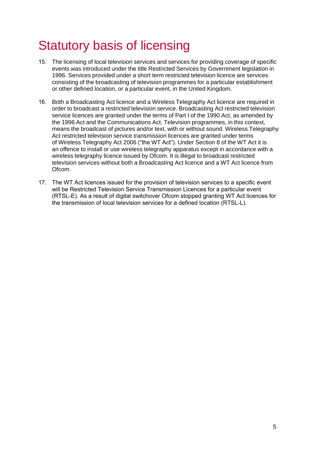# <span id="page-5-0"></span>Statutory basis of licensing

- 15. The licensing of local television services and services for providing coverage of specific events was introduced under the title Restricted Services by Government legislation in 1996. Services provided under a short term restricted television licence are services consisting of the broadcasting of television programmes for a particular establishment or other defined location, or a particular event, in the United Kingdom.
- 16. Both a Broadcasting Act licence and a Wireless Telegraphy Act licence are required in order to broadcast a restricted television service. Broadcasting Act restricted television service licences are granted under the terms of Part I of the 1990 Act, as amended by the 1996 Act and the Communications Act. Television programmes, in this context, means the broadcast of pictures and/or text, with or without sound. Wireless Telegraphy Act restricted television service transmission licences are granted under terms of Wireless Telegraphy Act 2006 ("the WT Act"). Under Section 8 of the WT Act it is an offence to install or use wireless telegraphy apparatus except in accordance with a wireless telegraphy licence issued by Ofcom. It is illegal to broadcast restricted television services without both a Broadcasting Act licence and a WT Act licence from Ofcom.
- 17. The WT Act licences issued for the provision of television services to a specific event will be Restricted Television Service Transmission Licences for a particular event (RTSL-E). As a result of digital switchover Ofcom stopped granting WT Act licences for the transmission of local television services for a defined location (RTSL-L).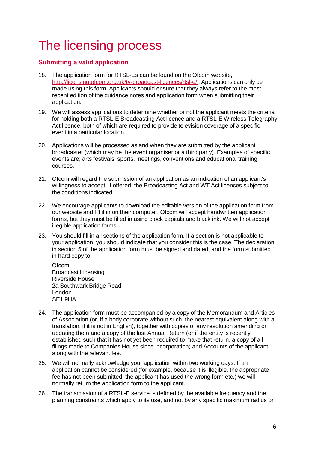# <span id="page-6-0"></span>The licensing process

# <span id="page-6-1"></span>**Submitting a valid application**

- 18. The application form for RTSL-Es can be found on the Ofcom website, <http://licensing.ofcom.org.uk/tv-broadcast-licences/rtsl-e/> . Applications can only be made using this form. Applicants should ensure that they always refer to the most recent edition of the guidance notes and application form when submitting their application.
- 19. We will assess applications to determine whether or not the applicant meets the criteria for holding both a RTSL-E Broadcasting Act licence and a RTSL-E Wireless Telegraphy Act licence, both of which are required to provide television coverage of a specific event in a particular location.
- 20. Applications will be processed as and when they are submitted by the applicant broadcaster (which may be the event organiser or a third party). Examples of specific events are; arts festivals, sports, meetings, conventions and educational training courses.
- 21. Ofcom will regard the submission of an application as an indication of an applicant's willingness to accept, if offered, the Broadcasting Act and WT Act licences subject to the conditions indicated.
- 22. We encourage applicants to download the editable version of the application form from our website and fill it in on their computer. Ofcom will accept handwritten application forms, but they must be filled in using block capitals and black ink. We will not accept illegible application forms.
- 23. You should fill in all sections of the application form. If a section is not applicable to your application, you should indicate that you consider this is the case. The declaration in section 5 of the application form must be signed and dated, and the form submitted in hard copy to:

**Ofcom** Broadcast Licensing Riverside House 2a Southwark Bridge Road London SE1 9HA

- 24. The application form must be accompanied by a copy of the Memorandum and Articles of Association (or, if a body corporate without such, the nearest equivalent along with a translation, if it is not in English), together with copies of any resolution amending or updating them and a copy of the last Annual Return (or if the entity is recently established such that it has not yet been required to make that return, a copy of all filings made to Companies House since incorporation) and Accounts of the applicant; along with the relevant fee.
- 25. We will normally acknowledge your application within two working days. If an application cannot be considered (for example, because it is illegible, the appropriate fee has not been submitted, the applicant has used the wrong form etc.) we will normally return the application form to the applicant.
- 26. The transmission of a RTSL-E service is defined by the available frequency and the planning constraints which apply to its use, and not by any specific maximum radius or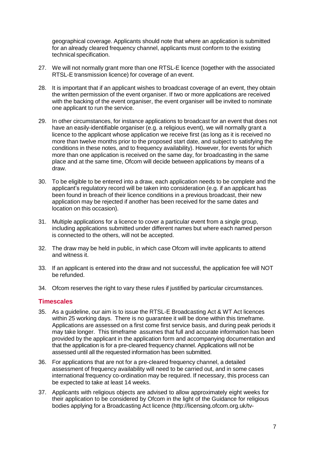geographical coverage. Applicants should note that where an application is submitted for an already cleared frequency channel, applicants must conform to the existing technical specification.

- 27. We will not normally grant more than one RTSL-E licence (together with the associated RTSL-E transmission licence) for coverage of an event.
- 28. It is important that if an applicant wishes to broadcast coverage of an event, they obtain the written permission of the event organiser. If two or more applications are received with the backing of the event organiser, the event organiser will be invited to nominate one applicant to run the service.
- 29. In other circumstances, for instance applications to broadcast for an event that does not have an easily-identifiable organiser (e.g. a religious event), we will normally grant a licence to the applicant whose application we receive first (as long as it is received no more than twelve months prior to the proposed start date, and subject to satisfying the conditions in these notes, and to frequency availability). However, for events for which more than one application is received on the same day, for broadcasting in the same place and at the same time, Ofcom will decide between applications by means of a draw.
- 30. To be eligible to be entered into a draw, each application needs to be complete and the applicant's regulatory record will be taken into consideration (e.g. if an applicant has been found in breach of their licence conditions in a previous broadcast, their new application may be rejected if another has been received for the same dates and location on this occasion).
- 31. Multiple applications for a licence to cover a particular event from a single group, including applications submitted under different names but where each named person is connected to the others, will not be accepted.
- 32. The draw may be held in public, in which case Ofcom will invite applicants to attend and witness it.
- 33. If an applicant is entered into the draw and not successful, the application fee will NOT be refunded.
- 34. Ofcom reserves the right to vary these rules if justified by particular circumstances.

### <span id="page-7-0"></span>**Timescales**

- 35. As a guideline, our aim is to issue the RTSL-E Broadcasting Act & WT Act licences within 25 working days. There is no guarantee it will be done within this timeframe. Applications are assessed on a first come first service basis, and during peak periods it may take longer. This timeframe assumes that full and accurate information has been provided by the applicant in the application form and accompanying documentation and that the application is for a pre-cleared frequency channel. Applications will not be assessed until all the requested information has been submitted.
- 36. For applications that are not for a pre-cleared frequency channel, a detailed assessment of frequency availability will need to be carried out, and in some cases international frequency co-ordination may be required. If necessary, this process can be expected to take at least 14 weeks.
- 37. Applicants with religious objects are advised to allow approximately eight weeks for their application to be considered by Ofcom in the light of the Guidance for religious bodies applying for a Broadcasting Act licence [\(http://licensing.ofcom.org.uk/tv-](http://licensing.ofcom.org.uk/tv-)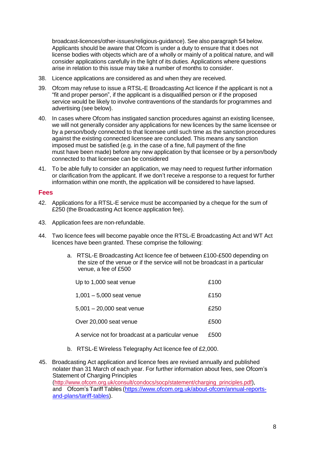broadcast-licences/other-issues/religious-guidance). See also paragraph 54 below. Applicants should be aware that Ofcom is under a duty to ensure that it does not license bodies with objects which are of a wholly or mainly of a political nature, and will consider applications carefully in the light of its duties. Applications where questions arise in relation to this issue may take a number of months to consider.

- 38. Licence applications are considered as and when they are received.
- 39. Ofcom may refuse to issue a RTSL-E Broadcasting Act licence if the applicant is not a "fit and proper person", if the applicant is a disqualified person or if the proposed service would be likely to involve contraventions of the standards for programmes and advertising (see below).
- 40. In cases where Ofcom has instigated sanction procedures against an existing licensee, we will not generally consider any applications for new licences by the same licensee or by a person/body connected to that licensee until such time as the sanction procedures against the existing connected licensee are concluded. This means any sanction imposed must be satisfied (e.g. in the case of a fine, full payment of the fine must have been made) before any new application by that licensee or by a person/body connected to that licensee can be considered
- 41. To be able fully to consider an application, we may need to request further information or clarification from the applicant. If we don't receive a response to a request for further information within one month, the application will be considered to have lapsed.

#### <span id="page-8-0"></span>**Fees**

- 42. Applications for a RTSL-E service must be accompanied by a cheque for the sum of £250 (the Broadcasting Act licence application fee).
- 43. Application fees are non-refundable.
- 44. Two licence fees will become payable once the RTSL-E Broadcasting Act and WT Act licences have been granted. These comprise the following:
	- a. RTSL-E Broadcasting Act licence fee of between £100-£500 depending on the size of the venue or if the service will not be broadcast in a particular venue, a fee of £500

| Up to 1,000 seat venue                            | £100 |
|---------------------------------------------------|------|
| $1,001 - 5,000$ seat venue                        | £150 |
| $5,001 - 20,000$ seat venue                       | £250 |
| Over 20,000 seat venue                            | £500 |
| A service not for broadcast at a particular venue | £500 |
|                                                   |      |

- b. RTSL-E Wireless Telegraphy Act licence fee of £2,000.
- 45. Broadcasting Act application and licence fees are revised annually and published nolater than 31 March of each year. For further information about fees, see Ofcom's Statement of Charging Principles [\(http://www.ofcom.org.uk/consult/condocs/socp/statement/charging\\_principles.pdf\),](http://www.ofcom.org.uk/consult/condocs/socp/statement/charging_principles.pdf))  and Ofcom's Tariff Tables [\(https://www.ofcom.org.uk/about-ofcom/annual-reports](https://www.ofcom.org.uk/about-ofcom/annual-reports-and-plans/tariff-tables)[and-plans/tariff-tables\)](https://www.ofcom.org.uk/about-ofcom/annual-reports-and-plans/tariff-tables).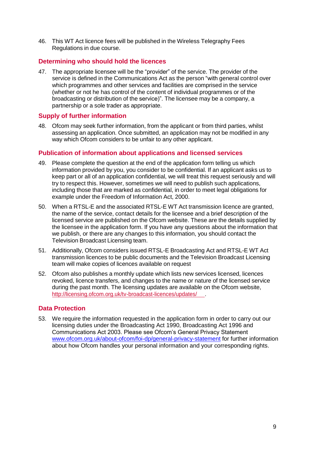46. This WT Act licence fees will be published in the Wireless Telegraphy Fees Regulations in due course.

### <span id="page-9-0"></span>**Determining who should hold the licences**

47. The appropriate licensee will be the "provider" of the service. The provider of the service is defined in the Communications Act as the person "with general control over which programmes and other services and facilities are comprised in the service (whether or not he has control of the content of individual programmes or of the broadcasting or distribution of the service)". The licensee may be a company, a partnership or a sole trader as appropriate.

### <span id="page-9-1"></span>**Supply of further information**

48. Ofcom may seek further information, from the applicant or from third parties, whilst assessing an application. Once submitted, an application may not be modified in any way which Ofcom considers to be unfair to any other applicant.

### <span id="page-9-2"></span>**Publication of information about applications and licensed services**

- 49. Please complete the question at the end of the application form telling us which information provided by you, you consider to be confidential. If an applicant asks us to keep part or all of an application confidential, we will treat this request seriously and will try to respect this. However, sometimes we will need to publish such applications, including those that are marked as confidential, in order to meet legal obligations for example under the Freedom of Information Act, 2000.
- 50. When a RTSL-E and the associated RTSL-E WT Act transmission licence are granted, the name of the service, contact details for the licensee and a brief description of the licensed service are published on the Ofcom website. These are the details supplied by the licensee in the application form. If you have any questions about the information that we publish, or there are any changes to this information, you should contact the Television Broadcast Licensing team.
- 51. Additionally, Ofcom considers issued RTSL-E Broadcasting Act and RTSL-E WT Act transmission licences to be public documents and the Television Broadcast Licensing team will make copies of licences available on request
- 52. Ofcom also publishes a monthly update which lists new services licensed, licences revoked, licence transfers, and changes to the name or nature of the licensed service during the past month. The licensing updates are available on the Ofcom website, http://licensing.ofcom.org.uk/tv-broadcast-licences/updates/

#### **Data Protection**

53. We require the information requested in the application form in order to carry out our licensing duties under the Broadcasting Act 1990, Broadcasting Act 1996 and Communications Act 2003. Please see Ofcom's General Privacy Statement [www.ofcom.org.uk/about-ofcom/foi-dp/general-privacy-statement](http://www.ofcom.org.uk/about-ofcom/foi-dp/general-privacy-statement) for further information about how Ofcom handles your personal information and your corresponding rights.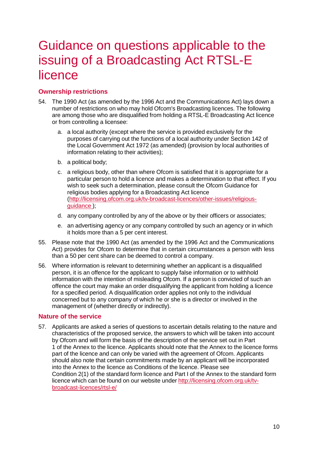# <span id="page-10-0"></span>Guidance on questions applicable to the issuing of a Broadcasting Act RTSL-E licence

# <span id="page-10-1"></span>**Ownership restrictions**

- 54. The 1990 Act (as amended by the 1996 Act and the Communications Act) lays down a number of restrictions on who may hold Ofcom's Broadcasting licences. The following are among those who are disqualified from holding a RTSL-E Broadcasting Act licence or from controlling a licensee:
	- a. a local authority (except where the service is provided exclusively for the purposes of carrying out the functions of a local authority under Section 142 of the Local Government Act 1972 (as amended) (provision by local authorities of information relating to their activities);
	- b. a political body;
	- c. a religious body, other than where Ofcom is satisfied that it is appropriate for a particular person to hold a licence and makes a determination to that effect. If you wish to seek such a determination, please consult the Ofcom Guidance for religious bodies applying for a Broadcasting Act licence [\(http://licensing.ofcom.org.uk/tv-broadcast-licences/other-issues/religious](http://licensing.ofcom.org.uk/tv-broadcast-licences/other-issues/religious-guidance)[guidance](http://licensing.ofcom.org.uk/tv-broadcast-licences/other-issues/religious-guidance) );
	- d. any company controlled by any of the above or by their officers or associates;
	- e. an advertising agency or any company controlled by such an agency or in which it holds more than a 5 per cent interest.
- 55. Please note that the 1990 Act (as amended by the 1996 Act and the Communications Act) provides for Ofcom to determine that in certain circumstances a person with less than a 50 per cent share can be deemed to control a company.
- 56. Where information is relevant to determining whether an applicant is a disqualified person, it is an offence for the applicant to supply false information or to withhold information with the intention of misleading Ofcom. If a person is convicted of such an offence the court may make an order disqualifying the applicant from holding a licence for a specified period. A disqualification order applies not only to the individual concerned but to any company of which he or she is a director or involved in the management of (whether directly or indirectly).

# <span id="page-10-2"></span>**Nature of the service**

57. Applicants are asked a series of questions to ascertain details relating to the nature and characteristics of the proposed service, the answers to which will be taken into account by Ofcom and will form the basis of the description of the service set out in Part 1 of the Annex to the licence. Applicants should note that the Annex to the licence forms part of the licence and can only be varied with the agreement of Ofcom. Applicants should also note that certain commitments made by an applicant will be incorporated into the Annex to the licence as Conditions of the licence. Please see Condition 2(1) of the standard form licence and Part I of the Annex to the standard [form](http://licensing.ofcom.org.uk/tv-broadcast-licences/rtsl-e/) licence which can be found on our website under [http://licensing.ofcom.org.uk/tv](http://licensing.ofcom.org.uk/tv-broadcast-licences/rtsl-e/)[broadcast-licences/rtsl-e/](http://licensing.ofcom.org.uk/tv-broadcast-licences/rtsl-e/)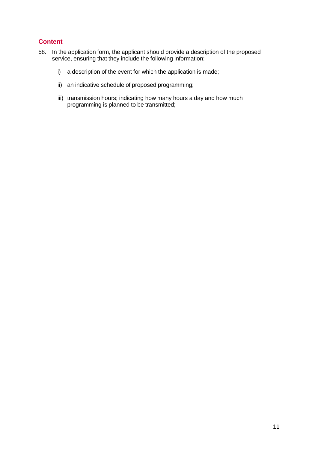# <span id="page-11-0"></span>**Content**

- 58. In the application form, the applicant should provide a description of the proposed service, ensuring that they include the following information:
	- i) a description of the event for which the application is made;
	- ii) an indicative schedule of proposed programming;
	- iii) transmission hours; indicating how many hours a day and how much programming is planned to be transmitted;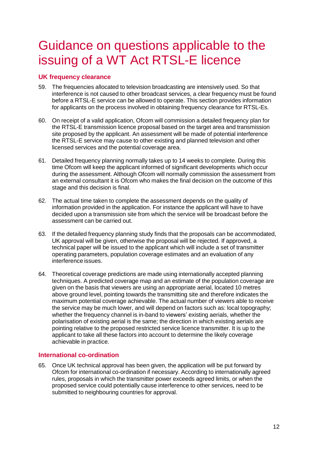# <span id="page-12-0"></span>Guidance on questions applicable to the issuing of a WT Act RTSL-E licence

### <span id="page-12-1"></span>**UK frequency clearance**

- 59. The frequencies allocated to television broadcasting are intensively used. So that interference is not caused to other broadcast services, a clear frequency must be found before a RTSL-E service can be allowed to operate. This section provides information for applicants on the process involved in obtaining frequency clearance for RTSL-Es.
- 60. On receipt of a valid application, Ofcom will commission a detailed frequency plan for the RTSL-E transmission licence proposal based on the target area and transmission site proposed by the applicant. An assessment will be made of potential interference the RTSL-E service may cause to other existing and planned television and other licensed services and the potential coverage area.
- 61. Detailed frequency planning normally takes up to 14 weeks to complete. During this time Ofcom will keep the applicant informed of significant developments which occur during the assessment. Although Ofcom will normally commission the assessment from an external consultant it is Ofcom who makes the final decision on the outcome of this stage and this decision is final.
- 62. The actual time taken to complete the assessment depends on the quality of information provided in the application. For instance the applicant will have to have decided upon a transmission site from which the service will be broadcast before the assessment can be carried out.
- 63. If the detailed frequency planning study finds that the proposals can be accommodated, UK approval will be given, otherwise the proposal will be rejected. If approved, a technical paper will be issued to the applicant which will include a set of transmitter operating parameters, population coverage estimates and an evaluation of any interference issues.
- 64. Theoretical coverage predictions are made using internationally accepted planning techniques. A predicted coverage map and an estimate of the population coverage are given on the basis that viewers are using an appropriate aerial, located 10 metres above ground level, pointing towards the transmitting site and therefore indicates the maximum potential coverage achievable. The actual number of viewers able to receive the service may be much lower, and will depend on factors such as: local topography; whether the frequency channel is in-band to viewers' existing aerials, whether the polarisation of existing aerial is the same; the direction in which existing aerials are pointing relative to the proposed restricted service licence transmitter. It is up to the applicant to take all these factors into account to determine the likely coverage achievable in practice.

### <span id="page-12-2"></span>**International co-ordination**

65. Once UK technical approval has been given, the application will be put forward by Ofcom for international co-ordination if necessary. According to internationally agreed rules, proposals in which the transmitter power exceeds agreed limits, or when the proposed service could potentially cause interference to other services, need to be submitted to neighbouring countries for approval.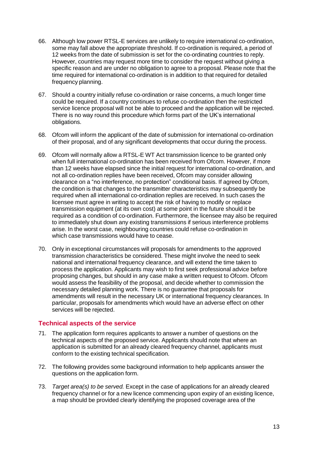- 66. Although low power RTSL-E services are unlikely to require international co-ordination, some may fall above the appropriate threshold. If co-ordination is required, a period of 12 weeks from the date of submission is set for the co-ordinating countries to reply. However, countries may request more time to consider the request without giving a specific reason and are under no obligation to agree to a proposal. Please note that the time required for international co-ordination is in addition to that required for detailed frequency planning.
- 67. Should a country initially refuse co-ordination or raise concerns, a much longer time could be required. If a country continues to refuse co-ordination then the restricted service licence proposal will not be able to proceed and the application will be rejected. There is no way round this procedure which forms part of the UK's international obligations.
- 68. Ofcom will inform the applicant of the date of submission for international co-ordination of their proposal, and of any significant developments that occur during the process.
- 69. Ofcom will normally allow a RTSL-E WT Act transmission licence to be granted only when full international co-ordination has been received from Ofcom. However, if more than 12 weeks have elapsed since the initial request for international co-ordination, and not all co-ordination replies have been received, Ofcom may consider allowing clearance on a "no interference, no protection" conditional basis. If agreed by Ofcom, the condition is that changes to the transmitter characteristics may subsequently be required when all international co-ordination replies are received. In such cases the licensee must agree in writing to accept the risk of having to modify or replace transmission equipment (at its own cost) at some point in the future should it be required as a condition of co-ordination. Furthermore, the licensee may also be required to immediately shut down any existing transmissions if serious interference problems arise. In the worst case, neighbouring countries could refuse co-ordination in which case transmissions would have to cease.
- 70. Only in exceptional circumstances will proposals for amendments to the approved transmission characteristics be considered. These might involve the need to seek national and international frequency clearance, and will extend the time taken to process the application. Applicants may wish to first seek professional advice before proposing changes, but should in any case make a written request to Ofcom. Ofcom would assess the feasibility of the proposal, and decide whether to commission the necessary detailed planning work. There is no guarantee that proposals for amendments will result in the necessary UK or international frequency clearances. In particular, proposals for amendments which would have an adverse effect on other services will be rejected.

#### <span id="page-13-0"></span>**Technical aspects of the service**

- 71. The application form requires applicants to answer a number of questions on the technical aspects of the proposed service. Applicants should note that where an application is submitted for an already cleared frequency channel, applicants must conform to the existing technical specification.
- 72. The following provides some background information to help applicants answer the questions on the application form.
- 73. *Target area(s) to be served.* Except in the case of applications for an already cleared frequency channel or for a new licence commencing upon expiry of an existing licence, a map should be provided clearly identifying the proposed coverage area of the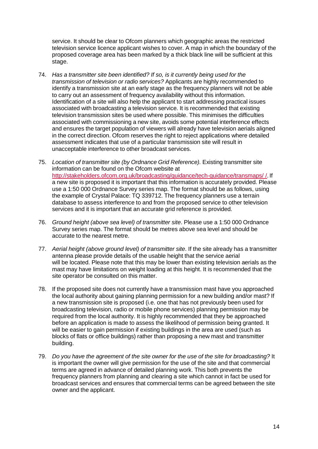service. It should be clear to Ofcom planners which geographic areas the restricted television service licence applicant wishes to cover. A map in which the boundary of the proposed coverage area has been marked by a thick black line will be sufficient at this stage.

- 74. *Has a transmitter site been identified? If so, is it currently being used for the transmission of television or radio services?* Applicants are highly recommended to identify a transmission site at an early stage as the frequency planners will not be able to carry out an assessment of frequency availability without this information. Identification of a site will also help the applicant to start addressing practical issues associated with broadcasting a television service. It is recommended that existing television transmission sites be used where possible. This minimises the difficulties associated with commissioning a new site, avoids some potential interference effects and ensures the target population of viewers will already have television aerials aligned in the correct direction. Ofcom reserves the right to reject applications where detailed assessment indicates that use of a particular transmission site will result in unacceptable interference to other broadcast services.
- 75. *Location of transmitter site (by Ordnance Grid Reference).* Existing transmitter site information can be found on the Ofcom website at <http://stakeholders.ofcom.org.uk/broadcasting/guidance/tech-guidance/transmaps/> /. If a new site is proposed it is important that this information is accurately provided. Please use a 1:50 000 Ordnance Survey series map. The format should be as follows, using the example of Crystal Palace: TQ 339712. The frequency planners use a terrain database to assess interference to and from the proposed service to other television services and it is important that an accurate grid reference is provided.
- 76. *Ground height (above sea level) of transmitter site*. Please use a 1:50 000 Ordnance Survey series map. The format should be metres above sea level and should be accurate to the nearest metre.
- 77. *Aerial height (above ground level) of transmitter site*. If the site already has a transmitter antenna please provide details of the usable height that the service aerial will be located. Please note that this may be lower than existing television aerials as the mast may have limitations on weight loading at this height. It is recommended that the site operator be consulted on this matter.
- 78. If the proposed site does not currently have a transmission mast have you approached the local authority about gaining planning permission for a new building and/or mast? If a new transmission site is proposed (i.e. one that has not previously been used for broadcasting television, radio or mobile phone services) planning permission may be required from the local authority. It is highly recommended that they be approached before an application is made to assess the likelihood of permission being granted. It will be easier to gain permission if existing buildings in the area are used (such as blocks of flats or office buildings) rather than proposing a new mast and transmitter building.
- 79. *Do you have the agreement of the site owner for the use of the site for broadcasting?* It is important the owner will give permission for the use of the site and that commercial terms are agreed in advance of detailed planning work. This both prevents the frequency planners from planning and clearing a site which cannot in fact be used for broadcast services and ensures that commercial terms can be agreed between the site owner and the applicant.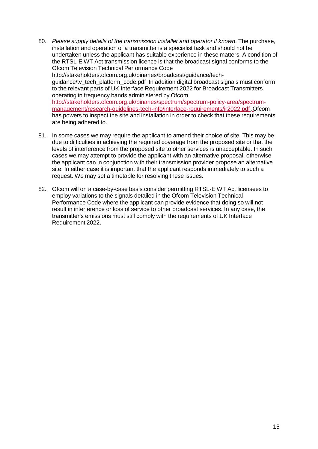- 80. *Please supply details of the transmission installer and operator if known*. The purchase, installation and operation of a transmitter is a specialist task and should not be undertaken unless the applicant has suitable experience in these matters. A condition of the RTSL-E WT Act transmission licence is that the broadcast signal conforms to the Ofcom Television Technical Performance Cod[e](http://stakeholders.ofcom.org.uk/binaries/broadcast/guidance/tech-) [http://stakeholders.ofcom.org.uk/binaries/broadcast/guidance/tech](http://stakeholders.ofcom.org.uk/binaries/broadcast/guidance/tech-)guidance/tv\_tech\_platform\_code.pdf In addition digital broadcast signals must conform to the relevant parts of UK Interface Requirement 2022 for Broadcast Transmitters operating in frequency bands administered by Ofcom [http://stakeholders.ofcom.org.uk/binaries/spectrum/spectrum-policy-area/spectrum](http://stakeholders.ofcom.org.uk/binaries/spectrum/spectrum-policy-area/spectrum-management/research-guidelines-tech-info/interface-requirements/ir2022.pdf)[management/research-guidelines-tech-info/interface-requirements/ir2022.pdf.](http://stakeholders.ofcom.org.uk/binaries/spectrum/spectrum-policy-area/spectrum-management/research-guidelines-tech-info/interface-requirements/ir2022.pdf)Ofcom has powers to inspect the site and installation in order to check that these requirements are being adhered to.
- 81. In some cases we may require the applicant to amend their choice of site. This may be due to difficulties in achieving the required coverage from the proposed site or that the levels of interference from the proposed site to other services is unacceptable. In such cases we may attempt to provide the applicant with an alternative proposal, otherwise the applicant can in conjunction with their transmission provider propose an alternative site. In either case it is important that the applicant responds immediately to such a request. We may set a timetable for resolving these issues.
- 82. Ofcom will on a case-by-case basis consider permitting RTSL-E WT Act licensees to employ variations to the signals detailed in the Ofcom Television Technical Performance Code where the applicant can provide evidence that doing so will not result in interference or loss of service to other broadcast services. In any case, the transmitter's emissions must still comply with the requirements of UK Interface Requirement 2022.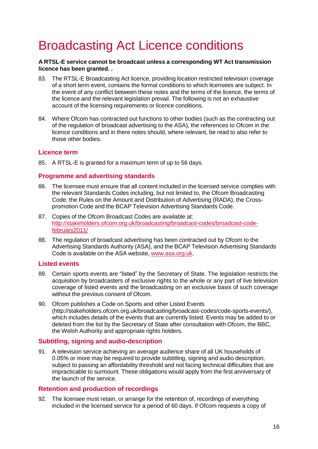# <span id="page-16-0"></span>Broadcasting Act Licence conditions

#### **A RTSL-E service cannot be broadcast unless a corresponding WT Act transmission licence has been granted. .**

- 83. The RTSL-E Broadcasting Act licence, providing location restricted television coverage of a short term event, contains the formal conditions to which licensees are subject. In the event of any conflict between these notes and the terms of the licence, the terms of the licence and the relevant legislation prevail. The following is not an exhaustive account of the licensing requirements or licence conditions.
- 84. Where Ofcom has contracted out functions to other bodies (such as the contracting out of the regulation of broadcast advertising to the ASA), the references to Ofcom in the licence conditions and in there notes should, where relevant, be read to also refer to those other bodies.

#### <span id="page-16-1"></span>**Licence term**

85. A RTSL-E is granted for a maximum term of up to 56 days.

#### <span id="page-16-2"></span>**Programme and advertising standards**

- 86. The licensee must ensure that all content included in the licensed service complies with the relevant Standards Codes including, but not limited to, the Ofcom Broadcasting Code, the Rules on the Amount and Distribution of Advertising (RADA), the Crosspromotion Code and the BCAP Television Advertising Standards Code.
- 87. Copies of the Ofcom Broadcast Codes are available at: [http://stakeholders.ofcom.org.uk/broadcasting/broadcast-codes/broadcast-code](http://stakeholders.ofcom.org.uk/broadcasting/broadcast-codes/broadcast-code-february2011/)[february2011/](http://stakeholders.ofcom.org.uk/broadcasting/broadcast-codes/broadcast-code-february2011/)
- 88. The regulation of broadcast advertising has been contracted out by Ofcom to the Advertising Standards Authority (ASA), and the BCAP Television Advertising Standards Code is available on the ASA website, [www.asa.org.uk.](http://www.asa.org.uk/)

#### <span id="page-16-3"></span>**Listed events**

- 89. Certain sports events are "listed" by the Secretary of State. The legislation restricts the acquisition by broadcasters of exclusive rights to the whole or any part of live television coverage of listed events and the broadcasting on an exclusive basis of such coverage without the previous consent of Ofcom.
- 90. Ofcom publishes a Code on Sports and other Listed Event[s](http://stakeholders.ofcom.org.uk/broadcasting/broadcast-codes/code-sports-events/)) [\(http://stakeholders.ofcom.org.uk/broadcasting/broadcast-codes/code-sports-events/\),](http://stakeholders.ofcom.org.uk/broadcasting/broadcast-codes/code-sports-events/)) which includes details of the events that are currently listed. Events may be added to or deleted from the list by the Secretary of State after consultation with Ofcom, the BBC, the Welsh Authority and appropriate rights holders.

### <span id="page-16-4"></span>**Subtitling, signing and audio-description**

91. A television service achieving an average audience share of all UK households of 0.05% or more may be required to provide subtitling, signing and audio description, subject to passing an affordability threshold and not facing technical difficulties that are impracticable to surmount. These obligations would apply from the first anniversary of the launch of the service.

### <span id="page-16-5"></span>**Retention and production of recordings**

92. The licensee must retain, or arrange for the retention of, recordings of everything included in the licensed service for a period of 60 days. If Ofcom requests a copy of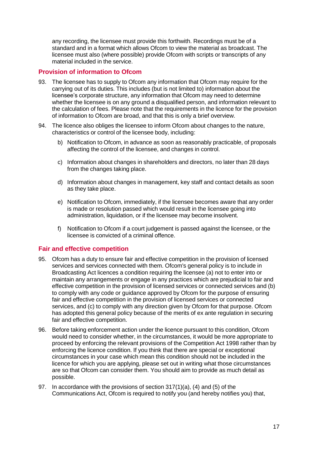any recording, the licensee must provide this forthwith. Recordings must be of a standard and in a format which allows Ofcom to view the material as broadcast. The licensee must also (where possible) provide Ofcom with scripts or transcripts of any material included in the service.

## <span id="page-17-0"></span>**Provision of information to Ofcom**

- 93. The licensee has to supply to Ofcom any information that Ofcom may require for the carrying out of its duties. This includes (but is not limited to) information about the licensee's corporate structure, any information that Ofcom may need to determine whether the licensee is on any ground a disqualified person, and information relevant to the calculation of fees. Please note that the requirements in the licence for the provision of information to Ofcom are broad, and that this is only a brief overview.
- 94. The licence also obliges the licensee to inform Ofcom about changes to the nature, characteristics or control of the licensee body, including:
	- b) Notification to Ofcom, in advance as soon as reasonably practicable, of proposals affecting the control of the licensee, and changes in control.
	- c) Information about changes in shareholders and directors, no later than 28 days from the changes taking place.
	- d) Information about changes in management, key staff and contact details as soon as they take place.
	- e) Notification to Ofcom, immediately, if the licensee becomes aware that any order is made or resolution passed which would result in the licensee going into administration, liquidation, or if the licensee may become insolvent.
	- f) Notification to Ofcom if a court judgement is passed against the licensee, or the licensee is convicted of a criminal offence.

### <span id="page-17-1"></span>**Fair and effective competition**

- 95. Ofcom has a duty to ensure fair and effective competition in the provision of licensed services and services connected with them. Ofcom's general policy is to include in Broadcasting Act licences a condition requiring the licensee (a) not to enter into or maintain any arrangements or engage in any practices which are prejudicial to fair and effective competition in the provision of licensed services or connected services and (b) to comply with any code or guidance approved by Ofcom for the purpose of ensuring fair and effective competition in the provision of licensed services or connected services, and (c) to comply with any direction given by Ofcom for that purpose. Ofcom has adopted this general policy because of the merits of ex ante regulation in securing fair and effective competition.
- 96. Before taking enforcement action under the licence pursuant to this condition, Ofcom would need to consider whether, in the circumstances, it would be more appropriate to proceed by enforcing the relevant provisions of the Competition Act 1998 rather than by enforcing the licence condition. If you think that there are special or exceptional circumstances in your case which mean this condition should not be included in the licence for which you are applying, please set out in writing what those circumstances are so that Ofcom can consider them. You should aim to provide as much detail as possible.
- 97. In accordance with the provisions of section 317(1)(a), (4) and (5) of the Communications Act, Ofcom is required to notify you (and hereby notifies you) that,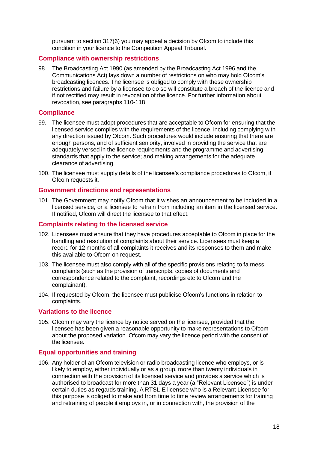pursuant to section 317(6) you may appeal a decision by Ofcom to include this condition in your licence to the Competition Appeal Tribunal.

#### <span id="page-18-0"></span>**Compliance with ownership restrictions**

98. The Broadcasting Act 1990 (as amended by the Broadcasting Act 1996 and the Communications Act) lays down a number of restrictions on who may hold Ofcom's broadcasting licences. The licensee is obliged to comply with these ownership restrictions and failure by a licensee to do so will constitute a breach of the licence and if not rectified may result in revocation of the licence. For further information about revocation, see paragraphs 110-118

#### <span id="page-18-1"></span>**Compliance**

- 99. The licensee must adopt procedures that are acceptable to Ofcom for ensuring that the licensed service complies with the requirements of the licence, including complying with any direction issued by Ofcom. Such procedures would include ensuring that there are enough persons, and of sufficient seniority, involved in providing the service that are adequately versed in the licence requirements and the programme and advertising standards that apply to the service; and making arrangements for the adequate clearance of advertising.
- 100. The licensee must supply details of the licensee's compliance procedures to Ofcom, if Ofcom requests it.

#### <span id="page-18-2"></span>**Government directions and representations**

101. The Government may notify Ofcom that it wishes an announcement to be included in a licensed service, or a licensee to refrain from including an item in the licensed service. If notified, Ofcom will direct the licensee to that effect.

#### <span id="page-18-3"></span>**Complaints relating to the licensed service**

- 102. Licensees must ensure that they have procedures acceptable to Ofcom in place for the handling and resolution of complaints about their service. Licensees must keep a record for 12 months of all complaints it receives and its responses to them and make this available to Ofcom on request.
- 103. The licensee must also comply with all of the specific provisions relating to fairness complaints (such as the provision of transcripts, copies of documents and correspondence related to the complaint, recordings etc to Ofcom and the complainant).
- 104. If requested by Ofcom, the licensee must publicise Ofcom's functions in relation to complaints.

#### <span id="page-18-4"></span>**Variations to the licence**

105. Ofcom may vary the licence by notice served on the licensee, provided that the licensee has been given a reasonable opportunity to make representations to Ofcom about the proposed variation. Ofcom may vary the licence period with the consent of the licensee.

#### <span id="page-18-5"></span>**Equal opportunities and training**

106. Any holder of an Ofcom television or radio broadcasting licence who employs, or is likely to employ, either individually or as a group, more than twenty individuals in connection with the provision of its licensed service and provides a service which is authorised to broadcast for more than 31 days a year (a "Relevant Licensee") is under certain duties as regards training. A RTSL-E licensee who is a Relevant Licensee for this purpose is obliged to make and from time to time review arrangements for training and retraining of people it employs in, or in connection with, the provision of the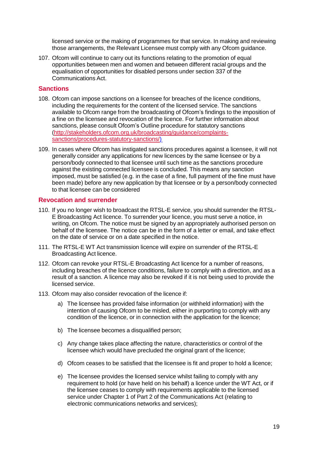licensed service or the making of programmes for that service. In making and reviewing those arrangements, the Relevant Licensee must comply with any Ofcom guidance.

107. Ofcom will continue to carry out its functions relating to the promotion of equal opportunities between men and women and between different racial groups and the equalisation of opportunities for disabled persons under section 337 of the Communications Act.

#### <span id="page-19-0"></span>**Sanctions**

- 108. Ofcom can impose sanctions on a licensee for breaches of the licence conditions, including the requirements for the content of the licensed service. The sanctions available to Ofcom range from the broadcasting of Ofcom's findings to the imposition of a fine on the licensee and revocation of the licence. For further information about sanctions, please consult Ofcom's Outline procedure for statutory sanctions [\(http://stakeholders.ofcom.org.uk/broadcasting/guidance/complaints](http://stakeholders.ofcom.org.uk/broadcasting/guidance/complaints-sanctions/procedures-statutory-sanctions/)[sanctions/procedures-statutory-sanctions/\)](http://stakeholders.ofcom.org.uk/broadcasting/guidance/complaints-sanctions/procedures-statutory-sanctions/)
- 109. In cases where Ofcom has instigated sanctions procedures against a licensee, it will not generally consider any applications for new licences by the same licensee or by a person/body connected to that licensee until such time as the sanctions procedure against the existing connected licensee is concluded. This means any sanction imposed, must be satisfied (e.g. in the case of a fine, full payment of the fine must have been made) before any new application by that licensee or by a person/body connected to that licensee can be considered

#### <span id="page-19-1"></span>**Revocation and surrender**

- 110. If you no longer wish to broadcast the RTSL-E service, you should surrender the RTSL-E Broadcasting Act licence. To surrender your licence, you must serve a notice, in writing, on Ofcom. The notice must be signed by an appropriately authorised person on behalf of the licensee. The notice can be in the form of a letter or email, and take effect on the date of service or on a date specified in the notice.
- 111. The RTSL-E WT Act transmission licence will expire on surrender of the RTSL-E Broadcasting Act licence.
- 112. Ofcom can revoke your RTSL-E Broadcasting Act licence for a number of reasons, including breaches of the licence conditions, failure to comply with a direction, and as a result of a sanction. A licence may also be revoked if it is not being used to provide the licensed service.
- 113. Ofcom may also consider revocation of the licence if:
	- a) The licensee has provided false information (or withheld information) with the intention of causing Ofcom to be misled, either in purporting to comply with any condition of the licence, or in connection with the application for the licence;
	- b) The licensee becomes a disqualified person;
	- c) Any change takes place affecting the nature, characteristics or control of the licensee which would have precluded the original grant of the licence;
	- d) Ofcom ceases to be satisfied that the licensee is fit and proper to hold a licence;
	- e) The licensee provides the licensed service whilst failing to comply with any requirement to hold (or have held on his behalf) a licence under the WT Act, or if the licensee ceases to comply with requirements applicable to the licensed service under Chapter 1 of Part 2 of the Communications Act (relating to electronic communications networks and services);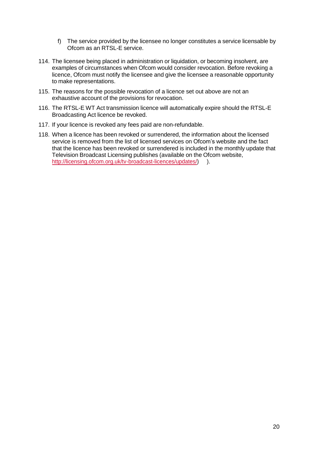- f) The service provided by the licensee no longer constitutes a service licensable by Ofcom as an RTSL-E service.
- 114. The licensee being placed in administration or liquidation, or becoming insolvent, are examples of circumstances when Ofcom would consider revocation. Before revoking a licence, Ofcom must notify the licensee and give the licensee a reasonable opportunity to make representations.
- 115. The reasons for the possible revocation of a licence set out above are not an exhaustive account of the provisions for revocation.
- 116. The RTSL-E WT Act transmission licence will automatically expire should the RTSL-E Broadcasting Act licence be revoked.
- 117. If your licence is revoked any fees paid are non-refundable.
- 118. When a licence has been revoked or surrendered, the information about the licensed service is removed from the list of licensed services on Ofcom's website and the fact that the licence has been revoked or surrendered is included in the monthly update that Television Broadcast Licensing publishes (available on the Ofcom website, [http://licensing.ofcom.org.uk/tv-broadcast-licences/updates/\)](http://licensing.ofcom.org.uk/tv-broadcast-licences/updates/) ).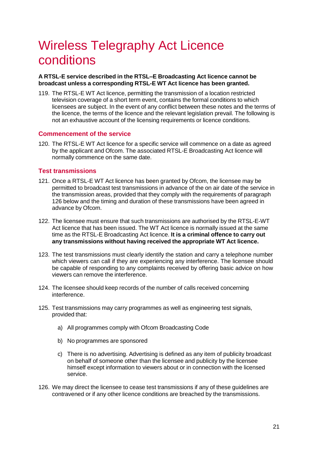# <span id="page-21-0"></span>Wireless Telegraphy Act Licence conditions

#### **A RTSL-E service described in the RTSL–E Broadcasting Act licence cannot be broadcast unless a corresponding RTSL-E WT Act licence has been granted.**

119. The RTSL-E WT Act licence, permitting the transmission of a location restricted television coverage of a short term event, contains the formal conditions to which licensees are subject. In the event of any conflict between these notes and the terms of the licence, the terms of the licence and the relevant legislation prevail. The following is not an exhaustive account of the licensing requirements or licence conditions.

#### <span id="page-21-1"></span>**Commencement of the service**

120. The RTSL-E WT Act licence for a specific service will commence on a date as agreed by the applicant and Ofcom. The associated RTSL-E Broadcasting Act licence will normally commence on the same date.

#### <span id="page-21-2"></span>**Test transmissions**

- 121. Once a RTSL-E WT Act licence has been granted by Ofcom, the licensee may be permitted to broadcast test transmissions in advance of the on air date of the service in the transmission areas, provided that they comply with the requirements of paragraph 126 below and the timing and duration of these transmissions have been agreed in advance by Ofcom.
- 122. The licensee must ensure that such transmissions are authorised by the RTSL-E-WT Act licence that has been issued. The WT Act licence is normally issued at the same time as the RTSL-E Broadcasting Act licence. **It is a criminal offence to carry out any transmissions without having received the appropriate WT Act licence.**
- 123. The test transmissions must clearly identify the station and carry a telephone number which viewers can call if they are experiencing any interference. The licensee should be capable of responding to any complaints received by offering basic advice on how viewers can remove the interference.
- 124. The licensee should keep records of the number of calls received concerning interference.
- 125. Test transmissions may carry programmes as well as engineering test signals, provided that:
	- a) All programmes comply with Ofcom Broadcasting Code
	- b) No programmes are sponsored
	- c) There is no advertising. Advertising is defined as any item of publicity broadcast on behalf of someone other than the licensee and publicity by the licensee himself except information to viewers about or in connection with the licensed service.
- 126. We may direct the licensee to cease test transmissions if any of these guidelines are contravened or if any other licence conditions are breached by the transmissions.